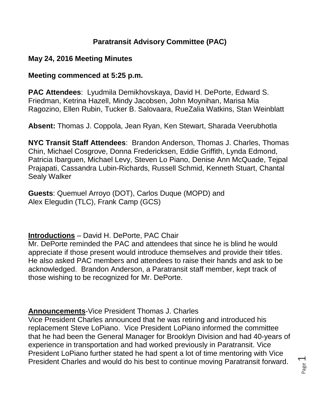## **Paratransit Advisory Committee (PAC)**

## **May 24, 2016 Meeting Minutes**

### **Meeting commenced at 5:25 p.m.**

**PAC Attendees**: Lyudmila Demikhovskaya, David H. DePorte, Edward S. Friedman, Ketrina Hazell, Mindy Jacobsen, John Moynihan, Marisa Mia Ragozino, Ellen Rubin, Tucker B. Salovaara, RueZalia Watkins, Stan Weinblatt

**Absent:** Thomas J. Coppola, Jean Ryan, Ken Stewart, Sharada Veerubhotla

**NYC Transit Staff Attendees**: Brandon Anderson, Thomas J. Charles, Thomas Chin, Michael Cosgrove, Donna Fredericksen, Eddie Griffith, Lynda Edmond, Patricia Ibarguen, Michael Levy, Steven Lo Piano, Denise Ann McQuade, Tejpal Prajapati, Cassandra Lubin-Richards, Russell Schmid, Kenneth Stuart, Chantal Sealy Walker

**Guests**: Quemuel Arroyo (DOT), Carlos Duque (MOPD) and Alex Elegudin (TLC), Frank Camp (GCS)

## **Introductions** – David H. DePorte, PAC Chair

Mr. DePorte reminded the PAC and attendees that since he is blind he would appreciate if those present would introduce themselves and provide their titles. He also asked PAC members and attendees to raise their hands and ask to be acknowledged. Brandon Anderson, a Paratransit staff member, kept track of those wishing to be recognized for Mr. DePorte.

## **Announcements**-Vice President Thomas J. Charles

Vice President Charles announced that he was retiring and introduced his replacement Steve LoPiano. Vice President LoPiano informed the committee that he had been the General Manager for Brooklyn Division and had 40-years of experience in transportation and had worked previously in Paratransit. Vice President LoPiano further stated he had spent a lot of time mentoring with Vice President Charles and would do his best to continue moving Paratransit forward.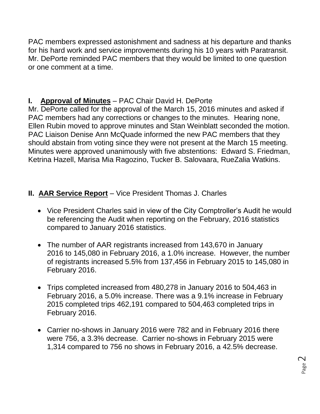PAC members expressed astonishment and sadness at his departure and thanks for his hard work and service improvements during his 10 years with Paratransit. Mr. DePorte reminded PAC members that they would be limited to one question or one comment at a time.

# **I. Approval of Minutes** – PAC Chair David H. DePorte

Mr. DePorte called for the approval of the March 15, 2016 minutes and asked if PAC members had any corrections or changes to the minutes. Hearing none, Ellen Rubin moved to approve minutes and Stan Weinblatt seconded the motion. PAC Liaison Denise Ann McQuade informed the new PAC members that they should abstain from voting since they were not present at the March 15 meeting. Minutes were approved unanimously with five abstentions: Edward S. Friedman, Ketrina Hazell, Marisa Mia Ragozino, Tucker B. Salovaara, RueZalia Watkins.

## **II. AAR Service Report** – Vice President Thomas J. Charles

- Vice President Charles said in view of the City Comptroller's Audit he would be referencing the Audit when reporting on the February, 2016 statistics compared to January 2016 statistics.
- The number of AAR registrants increased from 143,670 in January 2016 to 145,080 in February 2016, a 1.0% increase. However, the number of registrants increased 5.5% from 137,456 in February 2015 to 145,080 in February 2016.
- Trips completed increased from 480,278 in January 2016 to 504,463 in February 2016, a 5.0% increase. There was a 9.1% increase in February 2015 completed trips 462,191 compared to 504,463 completed trips in February 2016.
- Carrier no-shows in January 2016 were 782 and in February 2016 there were 756, a 3.3% decrease. Carrier no-shows in February 2015 were 1,314 compared to 756 no shows in February 2016, a 42.5% decrease.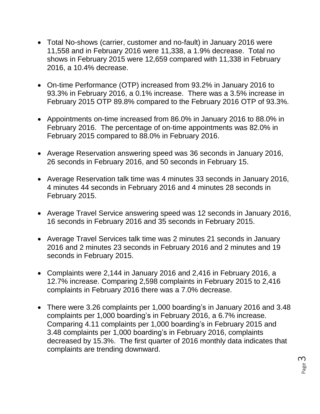- Total No-shows (carrier, customer and no-fault) in January 2016 were 11,558 and in February 2016 were 11,338, a 1.9% decrease. Total no shows in February 2015 were 12,659 compared with 11,338 in February 2016, a 10.4% decrease.
- On-time Performance (OTP) increased from 93.2% in January 2016 to 93.3% in February 2016, a 0.1% increase. There was a 3.5% increase in February 2015 OTP 89.8% compared to the February 2016 OTP of 93.3%.
- Appointments on-time increased from 86.0% in January 2016 to 88.0% in February 2016. The percentage of on-time appointments was 82.0% in February 2015 compared to 88.0% in February 2016.
- Average Reservation answering speed was 36 seconds in January 2016, 26 seconds in February 2016, and 50 seconds in February 15.
- Average Reservation talk time was 4 minutes 33 seconds in January 2016, 4 minutes 44 seconds in February 2016 and 4 minutes 28 seconds in February 2015.
- Average Travel Service answering speed was 12 seconds in January 2016, 16 seconds in February 2016 and 35 seconds in February 2015.
- Average Travel Services talk time was 2 minutes 21 seconds in January 2016 and 2 minutes 23 seconds in February 2016 and 2 minutes and 19 seconds in February 2015.
- Complaints were 2,144 in January 2016 and 2,416 in February 2016, a 12.7% increase. Comparing 2,598 complaints in February 2015 to 2,416 complaints in February 2016 there was a 7.0% decrease.
- There were 3.26 complaints per 1,000 boarding's in January 2016 and 3.48 complaints per 1,000 boarding's in February 2016, a 6.7% increase. Comparing 4.11 complaints per 1,000 boarding's in February 2015 and 3.48 complaints per 1,000 boarding's in February 2016, complaints decreased by 15.3%. The first quarter of 2016 monthly data indicates that complaints are trending downward.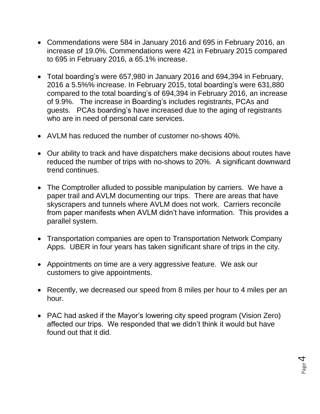- Commendations were 584 in January 2016 and 695 in February 2016, an increase of 19.0%. Commendations were 421 in February 2015 compared to 695 in February 2016, a 65.1% increase.
- Total boarding's were 657,980 in January 2016 and 694,394 in February, 2016 a 5.5%% increase. In February 2015, total boarding's were 631,880 compared to the total boarding's of 694,394 in February 2016, an increase of 9.9%. The increase in Boarding's includes registrants, PCAs and guests. PCAs boarding's have increased due to the aging of registrants who are in need of personal care services.
- AVLM has reduced the number of customer no-shows 40%.
- Our ability to track and have dispatchers make decisions about routes have reduced the number of trips with no-shows to 20%. A significant downward trend continues.
- The Comptroller alluded to possible manipulation by carriers. We have a paper trail and AVLM documenting our trips. There are areas that have skyscrapers and tunnels where AVLM does not work. Carriers reconcile from paper manifests when AVLM didn't have information. This provides a parallel system.
- Transportation companies are open to Transportation Network Company Apps. UBER in four years has taken significant share of trips in the city.
- Appointments on time are a very aggressive feature. We ask our customers to give appointments.
- Recently, we decreased our speed from 8 miles per hour to 4 miles per an hour.
- PAC had asked if the Mayor's lowering city speed program (Vision Zero) affected our trips. We responded that we didn't think it would but have found out that it did.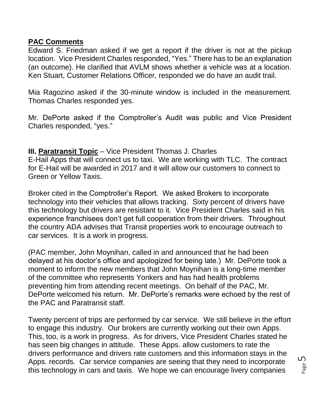### **PAC Comments**

Edward S. Friedman asked if we get a report if the driver is not at the pickup location. Vice President Charles responded, "Yes." There has to be an explanation (an outcome). He clarified that AVLM shows whether a vehicle was at a location. Ken Stuart, Customer Relations Officer, responded we do have an audit trail.

Mia Ragozino asked if the 30-minute window is included in the measurement. Thomas Charles responded yes.

Mr. DePorte asked if the Comptroller's Audit was public and Vice President Charles responded, "yes."

### **III. Paratransit Topic** – Vice President Thomas J. Charles

E-Hail Apps that will connect us to taxi. We are working with TLC. The contract for E-Hail will be awarded in 2017 and it will allow our customers to connect to Green or Yellow Taxis.

Broker cited in the Comptroller's Report. We asked Brokers to incorporate technology into their vehicles that allows tracking. Sixty percent of drivers have this technology but drivers are resistant to it. Vice President Charles said in his experience franchisees don't get full cooperation from their drivers. Throughout the country ADA advises that Transit properties work to encourage outreach to car services. It is a work in progress.

(PAC member, John Moynihan, called in and announced that he had been delayed at his doctor's office and apologized for being late.) Mr. DePorte took a moment to inform the new members that John Moynihan is a long-time member of the committee who represents Yonkers and has had health problems preventing him from attending recent meetings. On behalf of the PAC, Mr. DePorte welcomed his return. Mr. DePorte's remarks were echoed by the rest of the PAC and Paratransit staff.

Twenty percent of trips are performed by car service. We still believe in the effort to engage this industry. Our brokers are currently working out their own Apps. This, too, is a work in progress. As for drivers, Vice President Charles stated he has seen big changes in attitude. These Apps. allow customers to rate the drivers performance and drivers rate customers and this information stays in the Apps. records. Car service companies are seeing that they need to incorporate this technology in cars and taxis. We hope we can encourage livery companies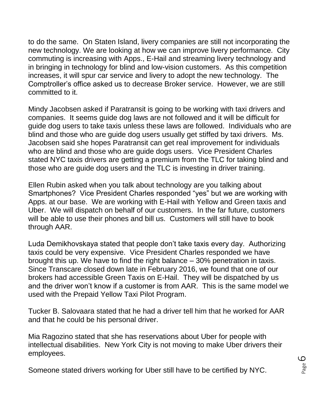to do the same. On Staten Island, livery companies are still not incorporating the new technology. We are looking at how we can improve livery performance. City commuting is increasing with Apps., E-Hail and streaming livery technology and in bringing in technology for blind and low-vision customers. As this competition increases, it will spur car service and livery to adopt the new technology. The Comptroller's office asked us to decrease Broker service. However, we are still committed to it.

Mindy Jacobsen asked if Paratransit is going to be working with taxi drivers and companies. It seems guide dog laws are not followed and it will be difficult for guide dog users to take taxis unless these laws are followed. Individuals who are blind and those who are guide dog users usually get stiffed by taxi drivers. Ms. Jacobsen said she hopes Paratransit can get real improvement for individuals who are blind and those who are guide dogs users. Vice President Charles stated NYC taxis drivers are getting a premium from the TLC for taking blind and those who are guide dog users and the TLC is investing in driver training.

Ellen Rubin asked when you talk about technology are you talking about Smartphones? Vice President Charles responded "yes" but we are working with Apps. at our base. We are working with E-Hail with Yellow and Green taxis and Uber. We will dispatch on behalf of our customers. In the far future, customers will be able to use their phones and bill us. Customers will still have to book through AAR.

Luda Demikhovskaya stated that people don't take taxis every day. Authorizing taxis could be very expensive. Vice President Charles responded we have brought this up. We have to find the right balance – 30% penetration in taxis. Since Transcare closed down late in February 2016, we found that one of our brokers had accessible Green Taxis on E-Hail. They will be dispatched by us and the driver won't know if a customer is from AAR. This is the same model we used with the Prepaid Yellow Taxi Pilot Program.

Tucker B. Salovaara stated that he had a driver tell him that he worked for AAR and that he could be his personal driver.

Mia Ragozino stated that she has reservations about Uber for people with intellectual disabilities. New York City is not moving to make Uber drivers their employees.

Someone stated drivers working for Uber still have to be certified by NYC.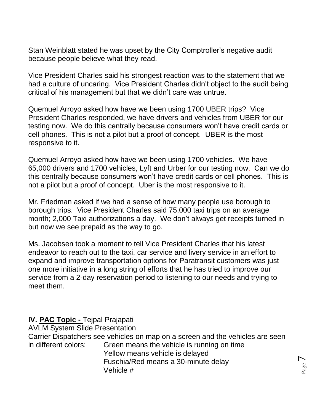Stan Weinblatt stated he was upset by the City Comptroller's negative audit because people believe what they read.

Vice President Charles said his strongest reaction was to the statement that we had a culture of uncaring. Vice President Charles didn't object to the audit being critical of his management but that we didn't care was untrue.

Quemuel Arroyo asked how have we been using 1700 UBER trips? Vice President Charles responded, we have drivers and vehicles from UBER for our testing now. We do this centrally because consumers won't have credit cards or cell phones. This is not a pilot but a proof of concept. UBER is the most responsive to it.

Quemuel Arroyo asked how have we been using 1700 vehicles. We have 65,000 drivers and 1700 vehicles, Lyft and Urber for our testing now. Can we do this centrally because consumers won't have credit cards or cell phones. This is not a pilot but a proof of concept. Uber is the most responsive to it.

Mr. Friedman asked if we had a sense of how many people use borough to borough trips. Vice President Charles said 75,000 taxi trips on an average month; 2,000 Taxi authorizations a day. We don't always get receipts turned in but now we see prepaid as the way to go.

Ms. Jacobsen took a moment to tell Vice President Charles that his latest endeavor to reach out to the taxi, car service and livery service in an effort to expand and improve transportation options for Paratransit customers was just one more initiative in a long string of efforts that he has tried to improve our service from a 2-day reservation period to listening to our needs and trying to meet them.

#### **IV. PAC Topic -** Tejpal Prajapati

AVLM System Slide Presentation

Carrier Dispatchers see vehicles on map on a screen and the vehicles are seen in different colors: Green means the vehicle is running on time Yellow means vehicle is delayed Fuschia/Red means a 30-minute delay Vehicle #

Page  $\overline{\phantom{1}}$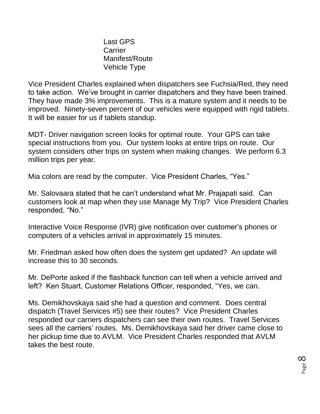Last GPS **Carrier** Manifest/Route Vehicle Type

Vice President Charles explained when dispatchers see Fuchsia/Red, they need to take action. We've brought in carrier dispatchers and they have been trained. They have made 3% improvements. This is a mature system and it needs to be improved. Ninety-seven percent of our vehicles were equipped with rigid tablets. It will be easier for us if tablets standup.

MDT- Driver navigation screen looks for optimal route. Your GPS can take special instructions from you. Our system looks at entire trips on route. Our system considers other trips on system when making changes. We perform 6.3 million trips per year.

Mia colors are read by the computer. Vice President Charles, "Yes."

Mr. Salovaara stated that he can't understand what Mr. Prajapati said. Can customers look at map when they use Manage My Trip? Vice President Charles responded, "No."

Interactive Voice Response (IVR) give notification over customer's phones or computers of a vehicles arrival in approximately 15 minutes.

Mr. Friedman asked how often does the system get updated? An update will increase this to 30 seconds.

Mr. DePorte asked if the flashback function can tell when a vehicle arrived and left? Ken Stuart, Customer Relations Officer, responded, "Yes, we can.

Ms. Demikhovskaya said she had a question and comment. Does central dispatch (Travel Services #5) see their routes? Vice President Charles responded our carriers dispatchers can see their own routes. Travel Services sees all the carriers' routes. Ms. Demikhovskaya said her driver came close to her pickup time due to AVLM. Vice President Charles responded that AVLM takes the best route.